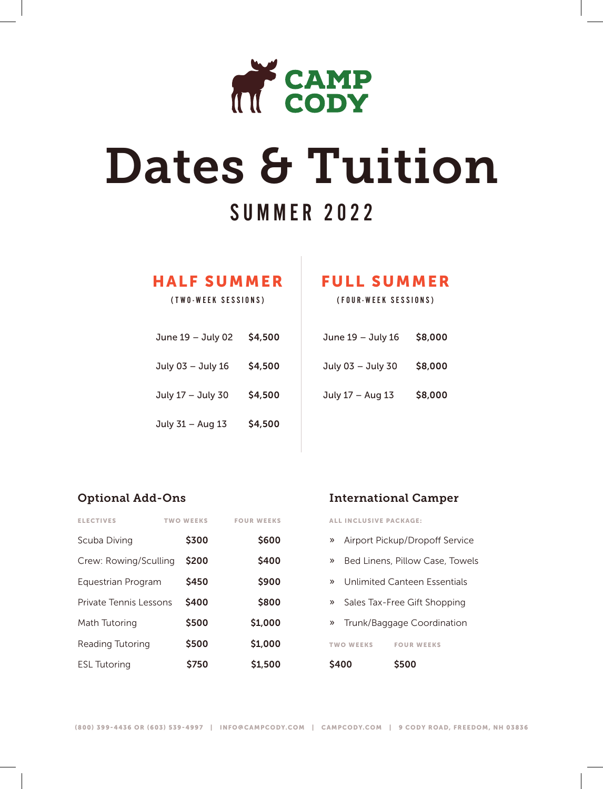

# Dates & Tuition

## SUMMER 2022

#### HALF SUMMER

(TWO-WEEK SESSIONS)

| June 19 - July 02 | \$4,500       |
|-------------------|---------------|
| July 03 - July 16 | <b>S4,500</b> |
| July 17 - July 30 | \$4,500       |
| July 31 - Aug 13  | \$4,500       |

### FULL SUMMER

(FOUR-WEEK SESSIONS)

| June 19 - July 16 | \$8,000 |
|-------------------|---------|
| July 03 - July 30 | \$8,000 |
| July 17 - Aug 13  | \$8,000 |

#### Optional Add-Ons

| <b>ELECTIVES</b>       | <b>TWO WEEKS</b> | <b>FOUR WEEKS</b> |
|------------------------|------------------|-------------------|
| Scuba Diving           | \$300            | \$600             |
| Crew: Rowing/Sculling  | \$200            | \$400             |
| Equestrian Program     | \$450            | \$900             |
| Private Tennis Lessons | \$400            | \$800             |
| Math Tutoring          | \$500            | \$1,000           |
| Reading Tutoring       | \$500            | \$1,000           |
| <b>ESL Tutoring</b>    | \$750            | \$1,500           |

#### International Camper

ALL INCLUSIVE PACKAGE:

- » Airport Pickup/Dropoff Service
- » Bed Linens, Pillow Case, Towels
- » Unlimited Canteen Essentials
- » Sales Tax-Free Gift Shopping
- » Trunk/Baggage Coordination

T WO WEEKS FOUR WEEKS

\$400 \$500